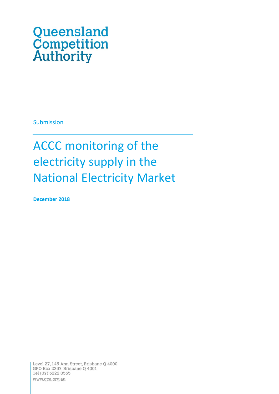# Queensland **Competition**<br>**Authority**

Submission

## ACCC monitoring of the electricity supply in the National Electricity Market

**December 2018**

Level 27, 145 Ann Street, Brisbane Q 4000 GPO Box 2257, Brisbane Q 4001 Tel (07) 3222 0555 www.qca.org.au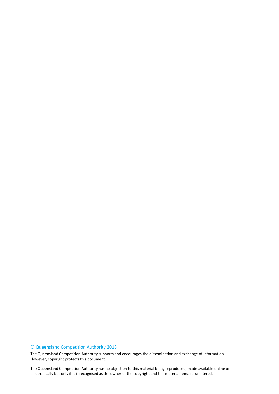#### © Queensland Competition Authority 2018

The Queensland Competition Authority supports and encourages the dissemination and exchange of information. However, copyright protects this document.

2 electronically but only if it is recognised as the owner of the copyright and this material remains unaltered.The Queensland Competition Authority has no objection to this material being reproduced, made available online or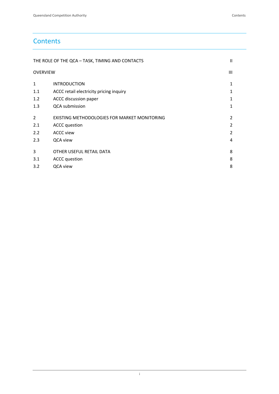## **Contents**

|                 | THE ROLE OF THE QCA - TASK, TIMING AND CONTACTS | $\mathbf{H}$ |
|-----------------|-------------------------------------------------|--------------|
| <b>OVERVIEW</b> |                                                 | Ш            |
| $\mathbf{1}$    | <b>INTRODUCTION</b>                             | 1            |
| 1.1             | ACCC retail electricity pricing inquiry         |              |
| 1.2             | ACCC discussion paper                           | 1            |
| 1.3             | QCA submission                                  | 1            |
| 2               | EXISTING METHODOLOGIES FOR MARKET MONITORING    | 2            |
| 2.1             | <b>ACCC</b> question                            | 2            |
| 2.2             | <b>ACCC view</b>                                | 2            |
| 2.3             | QCA view                                        | 4            |
| 3               | OTHER USEFUL RETAIL DATA                        | 8            |
| 3.1             | <b>ACCC</b> question                            | 8            |
| 3.2             | QCA view                                        | 8            |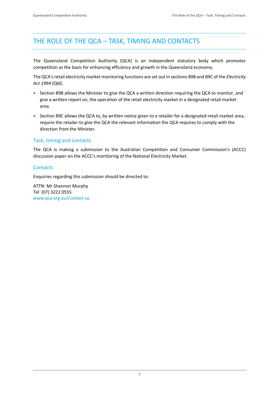## <span id="page-3-0"></span>THE ROLE OF THE QCA – TASK, TIMING AND CONTACTS

The Queensland Competition Authority (QCA) is an independent statutory body which promotes competition as the basis for enhancing efficiency and growth in the Queensland economy.

The QCA's retail electricity market monitoring functions are set out in sections 89B and 89C of the *Electricity Act 1994* (Qld).

- Section 89B allows the Minister to give the QCA a written direction requiring the QCA to monitor, and give a written report on, the operation of the retail electricity market in a designated retail market area.
- Section 89C allows the QCA to, by written notice given to a retailer for a designated retail market area, require the retailer to give the QCA the relevant information the QCA requires to comply with the direction from the Minister.

#### Task, timing and contacts

The QCA is making a submission to the Australian Competition and Consumer Commission's (ACCC) discussion paper on the ACCC's monitoring of the National Electricity Market.

#### **Contacts**

Enquiries regarding this submission should be directed to:

ATTN: Mr Shannon Murphy Tel (07) 3222 0555 [www.qca.org.au/Contact-us](http://www.qca.org.au/Contact-us)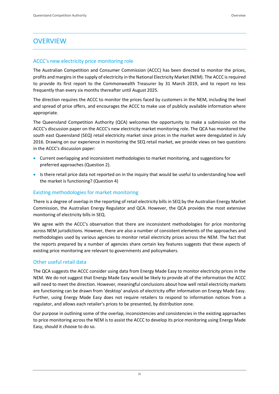## <span id="page-4-0"></span>**OVERVIEW**

#### ACCC's new electricity price monitoring role

The Australian Competition and Consumer Commission (ACCC) has been directed to monitor the prices, profits and margins in the supply of electricity in the National Electricity Market (NEM). The ACCC is required to provide its first report to the Commonwealth Treasurer by 31 March 2019, and to report no less frequently than every six months thereafter until August 2025.

The direction requires the ACCC to monitor the prices faced by customers in the NEM, including the level and spread of price offers, and encourages the ACCC to make use of publicly available information where appropriate.

The Queensland Competition Authority (QCA) welcomes the opportunity to make a submission on the ACCC's discussion paper on the ACCC's new electricity market monitoring role. The QCA has monitored the south east Queensland (SEQ) retail electricity market since prices in the market were deregulated in July 2016. Drawing on our experience in monitoring the SEQ retail market, we provide views on two questions in the ACCC's discussion paper:

- Current overlapping and inconsistent methodologies to market monitoring, and suggestions for preferred approaches (Question 2).
- Is there retail price data not reported on in the inquiry that would be useful to understanding how well the market is functioning? (Question 4)

#### Existing methodologies for market monitoring

There is a degree of overlap in the reporting of retail electricity bills in SEQ by the Australian Energy Market Commission, the Australian Energy Regulator and QCA. However, the QCA provides the most extensive monitoring of electricity bills in SEQ.

We agree with the ACCC's observation that there are inconsistent methodologies for price monitoring across NEM jurisdictions. However, there are also a number of consistent elements of the approaches and methodologies used by various agencies to monitor retail electricity prices across the NEM. The fact that the reports prepared by a number of agencies share certain key features suggests that these aspects of existing price monitoring are relevant to governments and policymakers.

#### Other useful retail data

The QCA suggests the ACCC consider using data from Energy Made Easy to monitor electricity prices in the NEM. We do not suggest that Energy Made Easy would be likely to provide all of the information the ACCC will need to meet the direction. However, meaningful conclusions about how well retail electricity markets are functioning can be drawn from 'desktop' analysis of electricity offer information on Energy Made Easy. Further, using Energy Made Easy does not require retailers to respond to information notices from a regulator, and allows each retailer's prices to be presented, by distribution zone.

Our purpose in outlining some of the overlap, inconsistencies and consistencies in the existing approaches to price monitoring across the NEM is to assist the ACCC to develop its price monitoring using Energy Made Easy, should it choose to do so.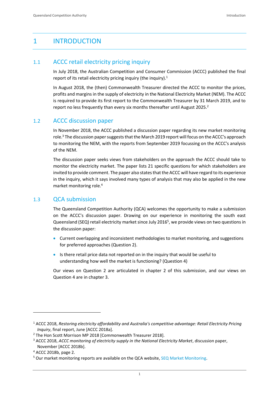### <span id="page-5-0"></span>1 INTRODUCTION

#### <span id="page-5-1"></span>1.1 ACCC retail electricity pricing inquiry

In July 2018, the Australian Competition and Consumer Commission (ACCC) published the final report of its retail electricity pricing inquiry (the inquiry).<sup>1</sup>

In August 2018, the (then) Commonwealth Treasurer directed the ACCC to monitor the prices, profits and margins in the supply of electricity in the National Electricity Market (NEM). The ACCC is required to provide its first report to the Commonwealth Treasurer by 31 March 2019, and to report no less frequently than every six months thereafter until August 2025.<sup>2</sup>

#### <span id="page-5-2"></span>1.2 ACCC discussion paper

In November 2018, the ACCC published a discussion paper regarding its new market monitoring role.<sup>3</sup> The discussion paper suggests that the March 2019 report will focus on the ACCC's approach to monitoring the NEM, with the reports from September 2019 focussing on the ACCC's analysis of the NEM.

The discussion paper seeks views from stakeholders on the approach the ACCC should take to monitor the electricity market. The paper lists 21 specific questions for which stakeholders are invited to provide comment. The paper also states that the ACCC will have regard to its experience in the inquiry, which it says involved many types of analysis that may also be applied in the new market monitoring role.<sup>4</sup>

#### <span id="page-5-3"></span>1.3 QCA submission

The Queensland Competition Authority (QCA) welcomes the opportunity to make a submission on the ACCC's discussion paper. Drawing on our experience in monitoring the south east Queensland (SEQ) retail electricity market since July 2016<sup>5</sup>, we provide views on two questions in the discussion paper:

- Current overlapping and inconsistent methodologies to market monitoring, and suggestions for preferred approaches (Question 2).
- Is there retail price data not reported on in the inquiry that would be useful to understanding how well the market is functioning? (Question 4)

Our views on Question 2 are articulated in chapter 2 of this submission, and our views on Question 4 are in chapter 3.

<sup>1</sup> ACCC 2018, *Restoring electricity affordability and Australia's competitive advantage: Retail Electricity Pricing Inquiry*, final report, June [ACCC 2018a].

<sup>&</sup>lt;sup>2</sup> The Hon Scott Morrison MP 2018 [Commonwealth Treasurer 2018].

<sup>3</sup> ACCC 2018, *ACCC monitoring of electricity supply in the National Electricity Market*, discussion paper, November [ACCC 2018b].

<sup>4</sup> ACCC 2018b, page 2.

<sup>&</sup>lt;sup>5</sup> Our market monitoring reports are available on the QCA website, [SEQ Market Monitoring.](http://www.qca.org.au/Electricity/Consumer/Market-Monitoring)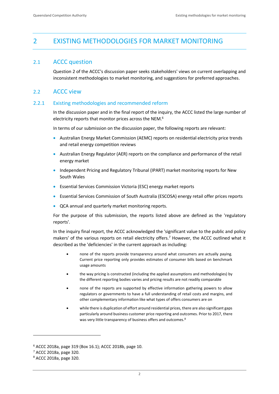## <span id="page-6-0"></span>2 EXISTING METHODOLOGIES FOR MARKET MONITORING

#### <span id="page-6-1"></span>2.1 ACCC question

Question 2 of the ACCC's discussion paper seeks stakeholders' views on current overlapping and inconsistent methodologies to market monitoring, and suggestions for preferred approaches.

#### <span id="page-6-2"></span>2.2 ACCC view

#### 2.2.1 Existing methodologies and recommended reform

In the discussion paper and in the final report of the inquiry, the ACCC listed the large number of electricity reports that monitor prices across the NEM.<sup>6</sup>

In terms of our submission on the discussion paper, the following reports are relevant:

- Australian Energy Market Commission (AEMC) reports on residential electricity price trends and retail energy competition reviews
- Australian Energy Regulator (AER) reports on the compliance and performance of the retail energy market
- Independent Pricing and Regulatory Tribunal (IPART) market monitoring reports for New South Wales
- Essential Services Commission Victoria (ESC) energy market reports
- Essential Services Commission of South Australia (ESCOSA) energy retail offer prices reports
- QCA annual and quarterly market monitoring reports.

For the purpose of this submission, the reports listed above are defined as the 'regulatory reports'.

In the inquiry final report, the ACCC acknowledged the 'significant value to the public and policy makers' of the various reports on retail electricity offers.<sup>7</sup> However, the ACCC outlined what it described as the 'deficiencies' in the current approach as including:

- none of the reports provide transparency around what consumers are actually paying. Current price reporting only provides estimates of consumer bills based on benchmark usage amounts
- the way pricing is constructed (including the applied assumptions and methodologies) by the different reporting bodies varies and pricing results are not readily comparable
- none of the reports are supported by effective information gathering powers to allow regulators or governments to have a full understanding of retail costs and margins, and other complementary information like what types of offers consumers are on
- while there is duplication of effort around residential prices, there are also significant gaps particularly around business customer price reporting and outcomes. Prior to 2017, there was very little transparency of business offers and outcomes.<sup>8</sup>

<sup>6</sup> ACCC 2018a, page 319 (Box 16.1); ACCC 2018b, page 10.

<sup>7</sup> ACCC 2018a, page 320.

<sup>8</sup> ACCC 2018a, page 320.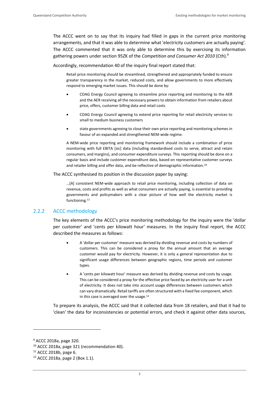The ACCC went on to say that its inquiry had filled in gaps in the current price monitoring arrangements, and that it was able to determine what 'electricity customers are actually paying'. The ACCC commented that it was only able to determine this by exercising its information gathering powers under section 95ZK of the *Competition and Consumer Act 2010* (Cth).<sup>9</sup>

Accordingly, recommendation 40 of the inquiry final report stated that:

Retail price monitoring should be streamlined, strengthened and appropriately funded to ensure greater transparency in the market, reduced costs, and allow governments to more effectively respond to emerging market issues. This should be done by:

- COAG Energy Council agreeing to streamline price reporting and monitoring to the AER and the AER receiving all the necessary powers to obtain information from retailers about price, offers, customer billing data and retail costs
- COAG Energy Council agreeing to extend price reporting for retail electricity services to small to medium business customers
- state governments agreeing to close their own price reporting and monitoring schemes in favour of an expanded and strengthened NEM-wide regime.

A NEM-wide price reporting and monitoring framework should include a combination of price monitoring with full EBITA [sic] data (including standardised costs to serve, attract and retain consumers, and margins), and consumer expenditure surveys. This reporting should be done on a regular basis and include customer expenditure data, based on representative customer surveys and retailer billing and offer data, and be reflective of demographic information.<sup>10</sup>

The ACCC synthesised its position in the discussion paper by saying:

…[A] consistent NEM-wide approach to retail price monitoring, including collection of data on revenue, costs and profits as well as what consumers are actually paying, is essential to providing governments and policymakers with a clear picture of how well the electricity market is functioning.<sup>11</sup>

#### <span id="page-7-0"></span>2.2.2 ACCC methodology

The key elements of the ACCC's price monitoring methodology for the inquiry were the 'dollar per customer' and 'cents per kilowatt hour' measures. In the inquiry final report, the ACCC described the measures as follows:

- A 'dollar per customer' measure was derived by dividing revenue and costs by numbers of customers. This can be considered a proxy for the annual amount that an average customer would pay for electricity. However, it is only a general representation due to significant usage differences between geographic regions, time periods and customer types.
- A 'cents per kilowatt hour' measure was derived by dividing revenue and costs by usage. This can be considered a proxy for the effective price faced by an electricity user for a unit of electricity. It does not take into account usage differences between customers which can vary dramatically. Retail tariffs are often structured with a fixed fee component, which in this case is averaged over the usage.<sup>12</sup>

To prepare its analysis, the ACCC said that it collected data from 18 retailers, and that it had to 'clean' the data for inconsistencies or potential errors, and check it against other data sources,

<sup>9</sup> ACCC 2018a, page 320.

<sup>10</sup> ACCC 2018a, page 321 (recommendation 40).

<sup>11</sup> ACCC 2018b, page 6.

<sup>12</sup> ACCC 2018a, page 2 (Box 1.1).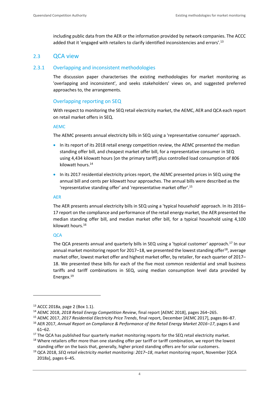including public data from the AER or the information provided by network companies. The ACCC added that it 'engaged with retailers to clarify identified inconsistencies and errors'.<sup>13</sup>

#### <span id="page-8-0"></span>2.3 QCA view

#### <span id="page-8-1"></span>2.3.1 Overlapping and inconsistent methodologies

The discussion paper characterises the existing methodologies for market monitoring as 'overlapping and inconsistent', and seeks stakeholders' views on, and suggested preferred approaches to, the arrangements.

#### Overlapping reporting on SEQ

With respect to monitoring the SEQ retail electricity market, the AEMC, AER and QCA each report on retail market offers in SEQ.

#### AEMC

The AEMC presents annual electricity bills in SEQ using a 'representative consumer' approach.

- In its report of its 2018 retail energy competition review, the AEMC presented the median standing offer bill, and cheapest market offer bill, for a representative consumer in SEQ using 4,434 kilowatt hours [on the primary tariff] plus controlled load consumption of 806 kilowatt hours. 14
- In its 2017 residential electricity prices report, the AEMC presented prices in SEQ using the annual bill and cents per kilowatt hour approaches. The annual bills were described as the 'representative standing offer' and 'representative market offer'. 15

#### AER

The AER presents annual electricity bills in SEQ using a 'typical household' approach. In its 2016– 17 report on the compliance and performance of the retail energy market, the AER presented the median standing offer bill, and median market offer bill, for a typical household using 4,100 kilowatt hours. 16

#### **OCA**

The QCA presents annual and quarterly bills in SEQ using a 'typical customer' approach.<sup>17</sup> In our annual market monitoring report for 2017–18, we presented the lowest standing offer<sup>18</sup>, average market offer, lowest market offer and highest market offer, by retailer, for each quarter of 2017– 18. We presented these bills for each of the five most common residential and small business tariffs and tariff combinations in SEQ, using median consumption level data provided by Energex.<sup>19</sup>

<sup>13</sup> ACCC 2018a, page 2 (Box 1.1).

<sup>14</sup> AEMC 2018, *2018 Retail Energy Competition Review*, final report [AEMC 2018], pages 264–265.

<sup>15</sup> AEMC 2017, *2017 Residential Electricity Price Trends*, final report, December [AEMC 2017], pages 86–87. <sup>16</sup> AER 2017, *Annual Report on Compliance & Performance of the Retail Energy Market 2016–17*, pages 6 and 61–62.

<sup>&</sup>lt;sup>17</sup> The QCA has published four quarterly market monitoring reports for the SEQ retail electricity market.

<sup>&</sup>lt;sup>18</sup> Where retailers offer more than one standing offer per tariff or tariff combination, we report the lowest standing offer on the basis that, generally, higher priced standing offers are for solar customers.

<sup>19</sup> QCA 2018, *SEQ retail electricity market monitoring: 2017–18*, market monitoring report, November [QCA 2018a], pages 6–45.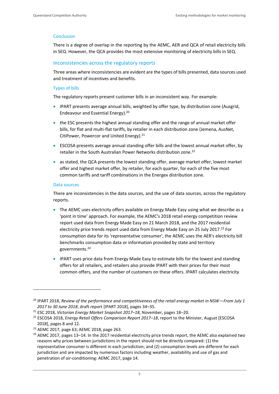#### **Conclusion**

There is a degree of overlap in the reporting by the AEMC, AER and QCA of retail electricity bills in SEQ. However, the QCA provides the most extensive monitoring of electricity bills in SEQ.

#### Inconsistencies across the regulatory reports

Three areas where inconsistencies are evident are the types of bills presented, data sources used and treatment of incentives and benefits.

#### Types of bills

The regulatory reports present customer bills in an inconsistent way. For example:

- IPART presents average annual bills, weighted by offer type, by distribution zone (Ausgrid, Endeavour and Essential Energy).<sup>20</sup>
- the ESC presents the highest annual standing offer and the range of annual market offer bills, for flat and multi-flat tariffs, by retailer in each distribution zone (Jemena, AusNet, CitiPower, Powercor and United Energy). 21
- ESCOSA presents average annual standing offer bills and the lowest annual market offer, by retailer in the South Australian Power Networks distribution zone.<sup>22</sup>
- as stated, the QCA presents the lowest standing offer, average market offer, lowest market offer and highest market offer, by retailer, for each quarter, for each of the five most common tariffs and tariff combinations in the Energex distribution zone.

#### Data sources

There are inconsistencies in the data sources, and the use of data sources, across the regulatory reports.

- The AEMC uses electricity offers available on Energy Made Easy using what we describe as a 'point in time' approach. For example, the AEMC's 2018 retail energy competition review report used data from Energy Made Easy on 21 March 2018, and the 2017 residential electricity price trends report used data from Energy Made Easy on 25 July 2017.<sup>23</sup> For consumption data for its 'representative consumer', the AEMC uses the AER's electricity bill benchmarks consumption data or information provided by state and territory governments. 24
- IPART uses price data from Energy Made Easy to estimate bills for the lowest and standing offers for all retailers, and retailers also provide IPART with their prices for their most common offers, and the number of customers on these offers. IPART calculates electricity

<sup>20</sup> IPART 2018, *Review of the performance and competitiveness of the retail energy market in NSW—From July 1 2017 to 30 June 2018*, draft report [IPART 2018], pages 34–35.

<sup>21</sup> ESC 2018, *Victorian Energy Market Snapshot 2017–18*, November, pages 18–20.

<sup>22</sup> ESCOSA 2018, *Energy Retail Offers Comparison Report 2017–18*, report to the Minister, August [ESCOSA 2018], pages 8 and 12.

<sup>23</sup> AEMC 2017, page 63; AEMC 2018, page 263.

<sup>&</sup>lt;sup>24</sup> AEMC 2017, pages 13–14. In the 2017 residential electricity price trends report, the AEMC also explained two reasons why prices between jurisdictions in the report should not be directly compared: (1) the representative consumer is different in each jurisdiction; and (2) consumption levels are different for each jurisdiction and are impacted by numerous factors including weather, availability and use of gas and penetration of air-conditioning: AEMC 2017, page 14.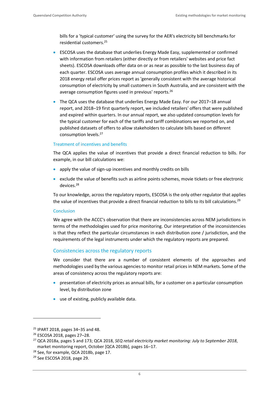bills for a 'typical customer' using the survey for the AER's electricity bill benchmarks for residential customers. 25

- ESCOSA uses the database that underlies Energy Made Easy, supplemented or confirmed with information from retailers (either directly or from retailers' websites and price fact sheets). ESCOSA downloads offer data on or as near as possible to the last business day of each quarter. ESCOSA uses average annual consumption profiles which it described in its 2018 energy retail offer prices report as 'generally consistent with the average historical consumption of electricity by small customers in South Australia, and are consistent with the average consumption figures used in previous' reports.<sup>26</sup>
- The QCA uses the database that underlies Energy Made Easy. For our 2017–18 annual report, and 2018–19 first quarterly report, we included retailers' offers that were published and expired within quarters. In our annual report, we also updated consumption levels for the typical customer for each of the tariffs and tariff combinations we reported on, and published datasets of offers to allow stakeholders to calculate bills based on different consumption levels.<sup>27</sup>

#### Treatment of incentives and benefits

The QCA applies the value of incentives that provide a direct financial reduction to bills. For example, in our bill calculations we:

- apply the value of sign-up incentives and monthly credits on bills
- exclude the value of benefits such as airline points schemes, movie tickets or free electronic devices.<sup>28</sup>

To our knowledge, across the regulatory reports, ESCOSA is the only other regulator that applies the value of incentives that provide a direct financial reduction to bills to its bill calculations.<sup>29</sup>

#### **Conclusion**

We agree with the ACCC's observation that there are inconsistencies across NEM jurisdictions in terms of the methodologies used for price monitoring. Our interpretation of the inconsistencies is that they reflect the particular circumstances in each distribution zone / jurisdiction, and the requirements of the legal instruments under which the regulatory reports are prepared.

#### Consistencies across the regulatory reports

We consider that there are a number of consistent elements of the approaches and methodologies used by the various agencies to monitor retail prices in NEM markets. Some of the areas of consistency across the regulatory reports are:

- presentation of electricity prices as annual bills, for a customer on a particular consumption level, by distribution zone
- use of existing, publicly available data.

<sup>25</sup> IPART 2018, pages 34–35 and 48.

<sup>26</sup> ESCOSA 2018, pages 27–28.

<sup>27</sup> QCA 2018a, pages 5 and 173; QCA 2018, *SEQ retail electricity market monitoring: July to September 2018*, market monitoring report, October [QCA 2018b], pages 16–17.

<sup>&</sup>lt;sup>28</sup> See, for example, QCA 2018b, page 17.

<sup>&</sup>lt;sup>29</sup> See ESCOSA 2018, page 29.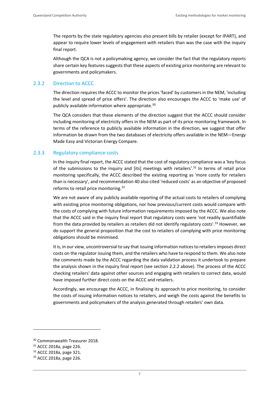The reports by the state regulatory agencies also present bills by retailer (except for IPART), and appear to require lower levels of engagement with retailers than was the case with the inquiry final report.

Although the QCA is not a policymaking agency, we consider the fact that the regulatory reports share certain key features suggests that these aspects of existing price monitoring are relevant to governments and policymakers.

#### 2.3.2 Direction to ACCC

The direction requires the ACCC to monitor the prices 'faced' by customers in the NEM, 'including the level and spread of price offers'. The direction also encourages the ACCC to 'make use' of publicly available information where appropriate.<sup>30</sup>

The QCA considers that these elements of the direction suggest that the ACCC should consider including monitoring of electricity offers in the NEM as part of its price monitoring framework. In terms of the reference to publicly available information in the direction, we suggest that offer information be drawn from the two databases of electricity offers available in the NEM—Energy Made Easy and Victorian Energy Compare.

#### 2.3.3 Regulatory compliance costs

In the inquiry final report, the ACCC stated that the cost of regulatory compliance was a 'key focus of the submissions to the inquiry and [its] meetings with retailers'.<sup>31</sup> In terms of retail price monitoring specifically, the ACCC described the existing reporting as 'more costly for retailers than is necessary', and recommendation 40 also cited 'reduced costs' as an objective of proposed reforms to retail price monitoring.<sup>32</sup>

We are not aware of any publicly available reporting of the actual costs to retailers of complying with existing price monitoring obligations, nor how previous/current costs would compare with the costs of complying with future information requirements imposed by the ACCC. We also note that the ACCC said in the inquiry final report that regulatory costs were 'not readily quantifiable from the data provided by retailers as retailers did not identify regulatory costs'.<sup>33</sup> However, we do support the general proposition that the cost to retailers of complying with price monitoring obligations should be minimised.

It is, in our view, uncontroversial to say that issuing information notices to retailers imposes direct costs on the regulator issuing them, and the retailers who have to respond to them. We also note the comments made by the ACCC regarding the data validation process it undertook to prepare the analysis shown in the inquiry final report (see section [2.2.2](#page-7-0) above). The process of the ACCC checking retailers' data against other sources and engaging with retailers to correct data, would have imposed further direct costs on the ACCC and retailers.

Accordingly, we encourage the ACCC, in finalising its approach to price monitoring, to consider the costs of issuing information notices to retailers, and weigh the costs against the benefits to governments and policymakers of the analysis generated through retailers' own data.

<sup>30</sup> Commonwealth Treasurer 2018.

<sup>31</sup> ACCC 2018a, page 226.

<sup>32</sup> ACCC 2018a, page 321.

<sup>33</sup> ACCC 2018a, page 226.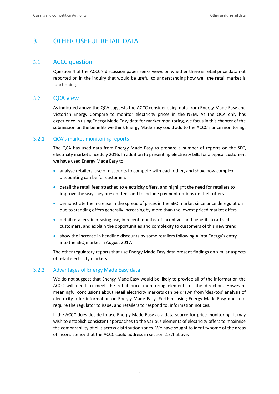## <span id="page-12-0"></span>3 OTHER USEFUL RETAIL DATA

#### <span id="page-12-1"></span>3.1 ACCC question

Question 4 of the ACCC's discussion paper seeks views on whether there is retail price data not reported on in the inquiry that would be useful to understanding how well the retail market is functioning.

#### <span id="page-12-2"></span>3.2 QCA view

As indicated above the QCA suggests the ACCC consider using data from Energy Made Easy and Victorian Energy Compare to monitor electricity prices in the NEM. As the QCA only has experience in using Energy Made Easy data for market monitoring, we focus in this chapter of the submission on the benefits we think Energy Made Easy could add to the ACCC's price monitoring.

#### 3.2.1 QCA's market monitoring reports

The QCA has used data from Energy Made Easy to prepare a number of reports on the SEQ electricity market since July 2016. In addition to presenting electricity bills for a typical customer, we have used Energy Made Easy to:

- analyse retailers' use of discounts to compete with each other, and show how complex discounting can be for customers
- detail the retail fees attached to electricity offers, and highlight the need for retailers to improve the way they present fees and to include payment options on their offers
- demonstrate the increase in the spread of prices in the SEQ market since price deregulation due to standing offers generally increasing by more than the lowest priced market offers
- detail retailers' increasing use, in recent months, of incentives and benefits to attract customers, and explain the opportunities and complexity to customers of this new trend
- show the increase in headline discounts by some retailers following Alinta Energy's entry into the SEQ market in August 2017.

The other regulatory reports that use Energy Made Easy data present findings on similar aspects of retail electricity markets.

#### 3.2.2 Advantages of Energy Made Easy data

We do not suggest that Energy Made Easy would be likely to provide all of the information the ACCC will need to meet the retail price monitoring elements of the direction. However, meaningful conclusions about retail electricity markets can be drawn from 'desktop' analysis of electricity offer information on Energy Made Easy. Further, using Energy Made Easy does not require the regulator to issue, and retailers to respond to, information notices.

If the ACCC does decide to use Energy Made Easy as a data source for price monitoring, it may wish to establish consistent approaches to the various elements of electricity offers to maximise the comparability of bills across distribution zones. We have sought to identify some of the areas of inconsistency that the ACCC could address in section [2.3.1](#page-8-1) above.